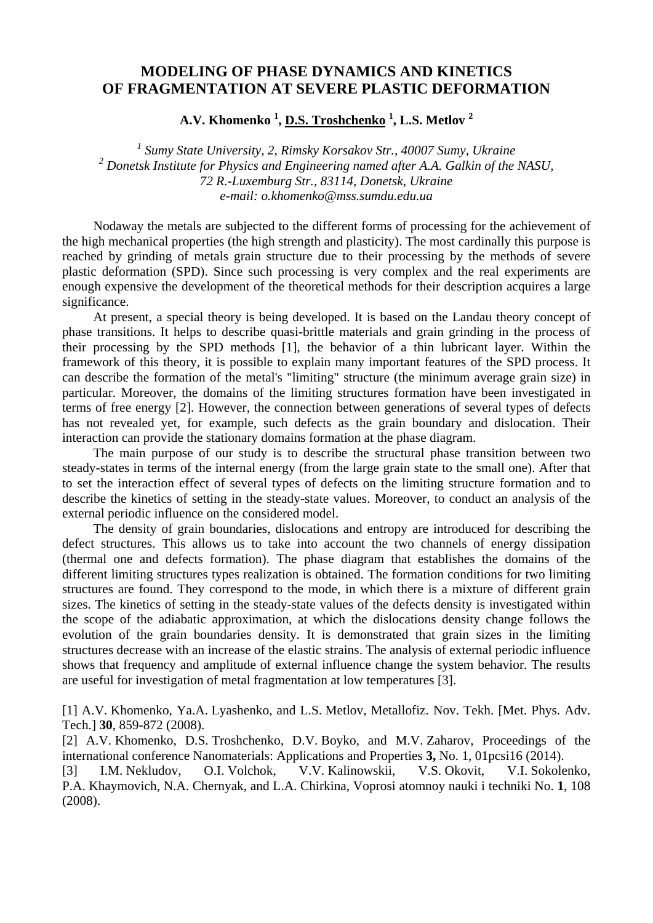## **MODELING OF PHASE DYNAMICS AND KINETICS OF FRAGMENTATION AT SEVERE PLASTIC DEFORMATION**

**A.V. Khomenko <sup>1</sup> , D.S. Troshchenko <sup>1</sup> , L.S. Metlov 2** 

<sup>1</sup> Sumy State University, 2, Rimsky Korsakov Str., 40007 Sumy, Ukraine <sup>2</sup> Donetsk Institute for Physics and Engineering named after A.A. Galkin of the NASU, *72 R.-Luxemburg Str., 83114, Donetsk, Ukraine e-mail: o.khomenko@mss.sumdu.edu.ua* 

Nodaway the metals are subjected to the different forms of processing for the achievement of the high mechanical properties (the high strength and plasticity). The most cardinally this purpose is reached by grinding of metals grain structure due to their processing by the methods of severe plastic deformation (SPD). Since such processing is very complex and the real experiments are enough expensive the development of the theoretical methods for their description acquires a large significance.

At present, a special theory is being developed. It is based on the Landau theory concept of phase transitions. It helps to describe quasi-brittle materials and grain grinding in the process of their processing by the SPD methods [1], the behavior of a thin lubricant layer. Within the framework of this theory, it is possible to explain many important features of the SPD process. It can describe the formation of the metal's "limiting" structure (the minimum average grain size) in particular. Moreover, the domains of the limiting structures formation have been investigated in terms of free energy [2]. However, the connection between generations of several types of defects has not revealed yet, for example, such defects as the grain boundary and dislocation. Their interaction can provide the stationary domains formation at the phase diagram.

The main purpose of our study is to describe the structural phase transition between two steady-states in terms of the internal energy (from the large grain state to the small one). After that to set the interaction effect of several types of defects on the limiting structure formation and to describe the kinetics of setting in the steady-state values. Moreover, to conduct an analysis of the external periodic influence on the considered model.

The density of grain boundaries, dislocations and entropy are introduced for describing the defect structures. This allows us to take into account the two channels of energy dissipation (thermal one and defects formation). The phase diagram that establishes the domains of the different limiting structures types realization is obtained. The formation conditions for two limiting structures are found. They correspond to the mode, in which there is a mixture of different grain sizes. The kinetics of setting in the steady-state values of the defects density is investigated within the scope of the adiabatic approximation, at which the dislocations density change follows the evolution of the grain boundaries density. It is demonstrated that grain sizes in the limiting structures decrease with an increase of the elastic strains. The analysis of external periodic influence shows that frequency and amplitude of external influence change the system behavior. The results are useful for investigation of metal fragmentation at low temperatures [3].

[1] A.V. Khomenko, Ya.A. Lyashenko, and L.S. Metlov, Metallofiz. Nov. Tekh. [Met. Phys. Adv. Tech.] **30**, 859-872 (2008).

[2] A.V. Khomenko, D.S. Troshchenko, D.V. Boyko, and M.V. Zaharov, Proceedings of the international conference Nanomaterials: Applications and Properties **3,** No. 1, 01pcsi16 (2014).

[3] I.M. Nekludov, O.I. Volchok, V.V. Kalinowskii, V.S. Okovit, V.I. Sokolenko, P.A. Khaymovich, N.A. Chernyak, and L.A. Chirkina, Voprosi atomnoy nauki i techniki No. **1**, 108 (2008).